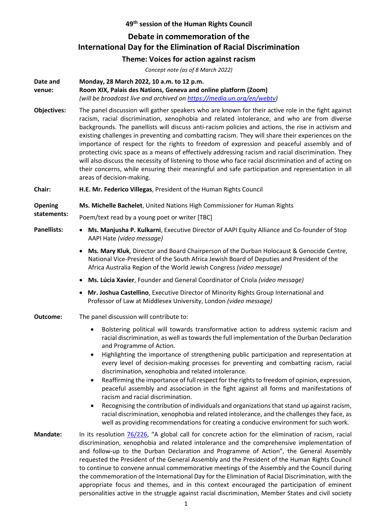## **49th session of the Human Rights Council**

## **Debate in commemoration of the International Day for the Elimination of Racial Discrimination**

## **Theme: Voices for action against racism**

| Concept note (as of 8 March 2022) |                                                                                                                                                                                                                                                                                                                                                                                                                                                                                                                                                                                                                                                                                                                                                                                                                                                                                                                                                                                                                |
|-----------------------------------|----------------------------------------------------------------------------------------------------------------------------------------------------------------------------------------------------------------------------------------------------------------------------------------------------------------------------------------------------------------------------------------------------------------------------------------------------------------------------------------------------------------------------------------------------------------------------------------------------------------------------------------------------------------------------------------------------------------------------------------------------------------------------------------------------------------------------------------------------------------------------------------------------------------------------------------------------------------------------------------------------------------|
| Date and<br>venue:                | Monday, 28 March 2022, 10 a.m. to 12 p.m.<br>Room XIX, Palais des Nations, Geneva and online platform (Zoom)<br>(will be broadcast live and archived on https://media.un.org/en/webtv)                                                                                                                                                                                                                                                                                                                                                                                                                                                                                                                                                                                                                                                                                                                                                                                                                         |
| <b>Objectives:</b>                | The panel discussion will gather speakers who are known for their active role in the fight against<br>racism, racial discrimination, xenophobia and related intolerance, and who are from diverse<br>backgrounds. The panellists will discuss anti-racism policies and actions, the rise in activism and<br>existing challenges in preventing and combatting racism. They will share their experiences on the<br>importance of respect for the rights to freedom of expression and peaceful assembly and of<br>protecting civic space as a means of effectively addressing racism and racial discrimination. They<br>will also discuss the necessity of listening to those who face racial discrimination and of acting on<br>their concerns, while ensuring their meaningful and safe participation and representation in all<br>areas of decision-making.                                                                                                                                                    |
| Chair:                            | H.E. Mr. Federico Villegas, President of the Human Rights Council                                                                                                                                                                                                                                                                                                                                                                                                                                                                                                                                                                                                                                                                                                                                                                                                                                                                                                                                              |
| <b>Opening</b><br>statements:     | Ms. Michelle Bachelet, United Nations High Commissioner for Human Rights                                                                                                                                                                                                                                                                                                                                                                                                                                                                                                                                                                                                                                                                                                                                                                                                                                                                                                                                       |
|                                   | Poem/text read by a young poet or writer [TBC]                                                                                                                                                                                                                                                                                                                                                                                                                                                                                                                                                                                                                                                                                                                                                                                                                                                                                                                                                                 |
| <b>Panellists:</b>                | Ms. Manjusha P. Kulkarni, Executive Director of AAPI Equity Alliance and Co-founder of Stop<br>$\bullet$<br>AAPI Hate (video message)                                                                                                                                                                                                                                                                                                                                                                                                                                                                                                                                                                                                                                                                                                                                                                                                                                                                          |
|                                   | Ms. Mary Kluk, Director and Board Chairperson of the Durban Holocaust & Genocide Centre,<br>$\bullet$<br>National Vice-President of the South Africa Jewish Board of Deputies and President of the<br>Africa Australia Region of the World Jewish Congress (video message)                                                                                                                                                                                                                                                                                                                                                                                                                                                                                                                                                                                                                                                                                                                                     |
|                                   | Ms. Lúcia Xavier, Founder and General Coordinator of Criola (video message)<br>$\bullet$                                                                                                                                                                                                                                                                                                                                                                                                                                                                                                                                                                                                                                                                                                                                                                                                                                                                                                                       |
|                                   | Mr. Joshua Castellino, Executive Director of Minority Rights Group International and<br>٠<br>Professor of Law at Middlesex University, London (video message)                                                                                                                                                                                                                                                                                                                                                                                                                                                                                                                                                                                                                                                                                                                                                                                                                                                  |
| Outcome:                          | The panel discussion will contribute to:                                                                                                                                                                                                                                                                                                                                                                                                                                                                                                                                                                                                                                                                                                                                                                                                                                                                                                                                                                       |
|                                   | Bolstering political will towards transformative action to address systemic racism and<br>$\bullet$<br>racial discrimination, as well as towards the full implementation of the Durban Declaration<br>and Programme of Action.<br>Highlighting the importance of strengthening public participation and representation at<br>٠<br>every level of decision-making processes for preventing and combatting racism, racial<br>discrimination, xenophobia and related intolerance.<br>Reaffirming the importance of full respect for the rights to freedom of opinion, expression,<br>٠<br>peaceful assembly and association in the fight against all forms and manifestations of<br>racism and racial discrimination.<br>Recognising the contribution of individuals and organizations that stand up against racism,<br>٠<br>racial discrimination, xenophobia and related intolerance, and the challenges they face, as<br>well as providing recommendations for creating a conducive environment for such work. |
| <b>Mandate:</b>                   | In its resolution 76/226, "A global call for concrete action for the elimination of racism, racial<br>discrimination, xenophobia and related intolerance and the comprehensive implementation of<br>and follow-up to the Durban Declaration and Programme of Action", the General Assembly<br>requested the President of the General Assembly and the President of the Human Rights Council<br>to continue to convene annual commemorative meetings of the Assembly and the Council during<br>the commemoration of the International Day for the Elimination of Racial Discrimination, with the<br>appropriate focus and themes, and in this context encouraged the participation of eminent<br>personalities active in the struggle against racial discrimination, Member States and civil society                                                                                                                                                                                                            |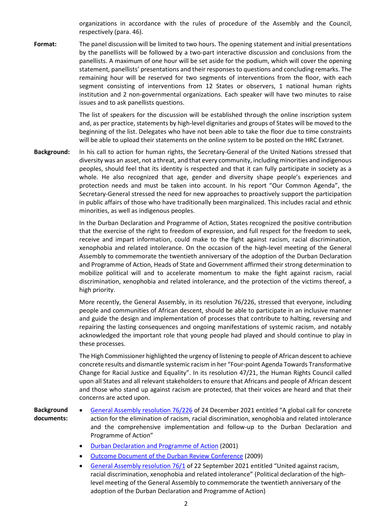organizations in accordance with the rules of procedure of the Assembly and the Council, respectively (para. 46).

Format: The panel discussion will be limited to two hours. The opening statement and initial presentations by the panellists will be followed by a two-part interactive discussion and conclusions from the panellists. A maximum of one hour will be set aside for the podium, which will cover the opening statement, panellists' presentations and their responses to questions and concluding remarks. The remaining hour will be reserved for two segments of interventions from the floor, with each segment consisting of interventions from 12 States or observers, 1 national human rights institution and 2 non-governmental organizations. Each speaker will have two minutes to raise issues and to ask panellists questions.

> The list of speakers for the discussion will be established through the online inscription system and, as per practice, statements by high-level dignitaries and groups of States will be moved to the beginning of the list. Delegates who have not been able to take the floor due to time constraints will be able to upload their statements on the online system to be posted on the HRC Extranet.

**Background:** In his call to action for human rights, the Secretary-General of the United Nations stressed that diversity was an asset, not a threat, and that every community, including minorities and indigenous peoples, should feel that its identity is respected and that it can fully participate in society as a whole. He also recognized that age, gender and diversity shape people's experiences and protection needs and must be taken into account. In his report "Our Common Agenda", the Secretary-General stressed the need for new approaches to proactively support the participation in public affairs of those who have traditionally been marginalized. This includes racial and ethnic minorities, as well as indigenous peoples.

> In the Durban Declaration and Programme of Action, States recognized the positive contribution that the exercise of the right to freedom of expression, and full respect for the freedom to seek, receive and impart information, could make to the fight against racism, racial discrimination, xenophobia and related intolerance. On the occasion of the high-level meeting of the General Assembly to commemorate the twentieth anniversary of the adoption of the Durban Declaration and Programme of Action, Heads of State and Government affirmed their strong determination to mobilize political will and to accelerate momentum to make the fight against racism, racial discrimination, xenophobia and related intolerance, and the protection of the victims thereof, a high priority.

> More recently, the General Assembly, in its resolution 76/226, stressed that everyone, including people and communities of African descent, should be able to participate in an inclusive manner and guide the design and implementation of processes that contribute to halting, reversing and repairing the lasting consequences and ongoing manifestations of systemic racism, and notably acknowledged the important role that young people had played and should continue to play in these processes.

> The High Commissioner highlighted the urgency of listening to people of African descent to achieve concrete results and dismantle systemic racism in her "Four-point Agenda Towards Transformative Change for Racial Justice and Equality". In its resolution 47/21, the Human Rights Council called upon all States and all relevant stakeholders to ensure that Africans and people of African descent and those who stand up against racism are protected, that their voices are heard and that their concerns are acted upon.

## **Background documents:**

- [General Assembly resolution 76/226](https://undocs.org/A/RES/76/226) of 24 December 2021 entitled "A global call for concrete action for the elimination of racism, racial discrimination, xenophobia and related intolerance and the comprehensive implementation and follow-up to the Durban Declaration and Programme of Action"
	- [Durban Declaration and Programme of Action](https://www.ohchr.org/Documents/Publications/Durban_text_en.pdf) (2001)
	- [Outcome Document of the Durban Review Conference](https://www.ohchr.org/Documents/Press/Durban_Review_Conference_outcome_document.pdf) (2009)
	- [General Assembly resolution 76/1](https://undocs.org/en/A/RES/76/1) of 22 September 2021 entitled "United against racism, racial discrimination, xenophobia and related intolerance" (Political declaration of the highlevel meeting of the General Assembly to commemorate the twentieth anniversary of the adoption of the Durban Declaration and Programme of Action)